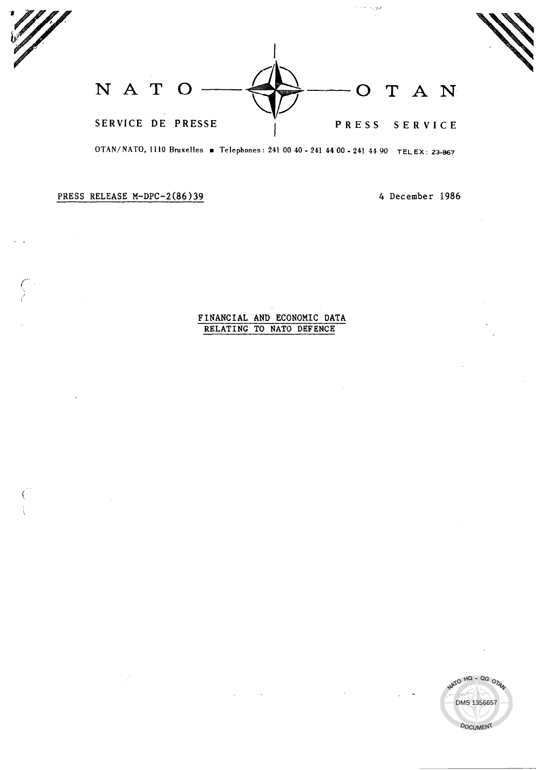NATO  $\longrightarrow$  OTAN SERVICE DE PRESSE I PRESS SERVICE

OTAN/ NATO, 1110 Bruxelles a Telephones: 241 00 40 - 241 44 00 - 241 44 90 TELEX: 23-867

PRESS RELEASE M-DPC-2(86)39

# FINANCIAL AND ECONOMIC DATA RELATING TO NATO DEFENCE

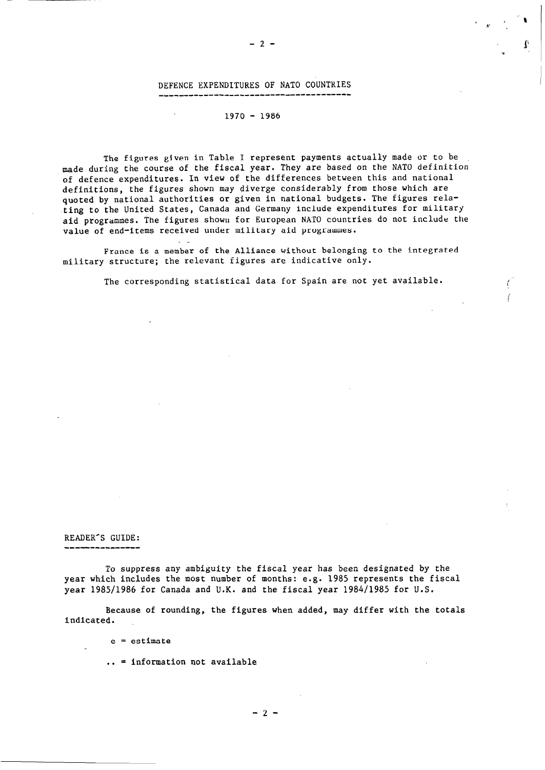#### DEFENCE EXPENDITURES OF NATO COUNTKIES ------------------------------ -------

### $1970 - 1986$

The figures given in Table I represent payments actually made or to be made during the course of the fiscal year. They are based on the NATO definition of defence expenditures. In view of the differences between this and national definitions, the figures shown may diverge considerably from those which are quoted by national authorities or given in national budgets. The figures relating to the United States, Canada and Germany include expenditures for military aid programmes. The figures showu for European NATO countries do not include the value of end-items received under military aid programmes.

France is a member of the Alliance without belonging to the integrated military structure; the relevant figures are indicative only.

The corresponding statistical data for Spain are not yet available.

## READER'S GUIDE:

--------------

To suppress any ambiguity the fiscal year has been designated by the year which includes the most number of months: e.g. 1985 represents the fiscal year 1985/1986 for Canada and U.K. and the fiscal year 1984/1985 for U.S.

Because of rounding, the figures when added, may differ with the totals indicated.

e = estimate

. . = information not available

 $-2-$ 

 $-2-$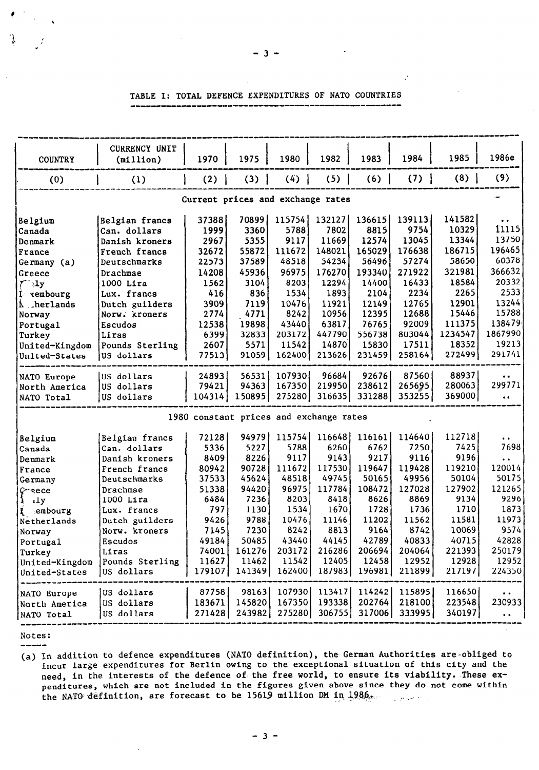| <b>COUNTRY</b>                    | CURRENCY UNIT<br>(millic) | 1970                                    | 1975   | 1980   | 1982          | 1983   | 1984                                       | 1985    | 1986e                   |  |  |
|-----------------------------------|---------------------------|-----------------------------------------|--------|--------|---------------|--------|--------------------------------------------|---------|-------------------------|--|--|
| (0)                               | (1)                       | (2)                                     | (3)    | (4)    | (5)           | (6)    | (7)                                        | (8)     | (9)                     |  |  |
| Current prices and exchange rates |                           |                                         |        |        |               |        |                                            |         |                         |  |  |
| <b>Belgium</b>                    | Belgian francs            | 37388                                   | 70899  | 115754 | 132127        | 136615 | 139113                                     | 141582  | $\bullet\ \bullet$      |  |  |
| Canada                            | Can. dollars              | 1999                                    | 3360   | 5788   | 7802          | 8815   | 9754                                       | 10329   | f1115                   |  |  |
| Denmark                           | Danish kroners            | 2967                                    | 5355   | 9117   | 11669         | 12574  | 13045                                      | 13344   | 13750                   |  |  |
| France                            | French francs             | 32672                                   | 55872  | 111672 | 148021        | 165029 | 176638                                     | 186715  | 196465                  |  |  |
| Germany (a)                       | Deutschmarks              | 22573                                   | 37589  | 48518  | 54234         | 56496  | 57274                                      | 58650   | 60378                   |  |  |
| Greece                            | Drachmae                  | 14208                                   | 45936  | 96975  | 176270        | 193340 | 271922                                     | 321981  | 366632                  |  |  |
| $\mathcal{T}^*$ :1y               | $1000$ Lira               | 1562                                    | 3104   | 8203   | 12294         | 14400  | 16433                                      | 18584   | 20332                   |  |  |
| I xembourg                        | Lux. francs               | 416                                     | 836    | 1534   | 1893          | 2104   | 2234                                       | 2265    | 2533                    |  |  |
| A herlands                        | Dutch guilders            | 3909                                    | 7119   | 10476  | 11921         | 12149  | 12765                                      | 12901   | 13244                   |  |  |
| Norway                            | Norw. kroners             | 2774                                    | 4771   | 8242   | 10956         | 12395  | 12688                                      | 15446   | 15788                   |  |  |
| Portugal                          | Escudos                   | 12538                                   | 19898  | 43440  | 63817         | 76765  | 92009                                      | 111375  | 138479                  |  |  |
| Turkey                            | Liras                     | 6399                                    | 32833  | 203172 | 447790        | 556738 | 803044                                     | 1234547 | 1867990                 |  |  |
| United-Kingdom                    | Pounds Sterling           | 2607                                    | 5571   | 11542  | 14870         | 15830  | 17511                                      | 18352   | 19213                   |  |  |
| United-States                     | US dollars                | 77513                                   | 91059  | 162400 | 213626        | 231459 | 258164                                     | 272499  | 291741                  |  |  |
| NATO Europe                       | US dollars                | 24893                                   | 56531  | 107930 | 96684         | 92676  | 87560                                      | 88937   | $\bullet$ $\bullet$     |  |  |
| North America                     | US dollars                | 79421                                   | 94363  | 167350 | 219950        | 238612 | 265695                                     | 280063  | 299771                  |  |  |
| NATO Total                        | US dollars                | 104314                                  | 150895 | 275280 | 316635        | 331288 | 353255                                     | 369000  | $\bullet$ $\bullet$     |  |  |
|                                   |                           | 1980 constant prices and exchange rates |        |        |               |        |                                            |         |                         |  |  |
| Belgium                           | Belgian francs            | 72128                                   | 94979  | 115754 | 116648        | 116161 | 114640                                     | 112718  | $\ddot{\phantom{0}}$    |  |  |
| Canada                            | Can. dollars              | 5336                                    | 5227   | 5788   | 6260          | 6762   | 7250                                       | 7425    | 7698                    |  |  |
| Denmark                           | Danish kroners            | 8409                                    | 8226   | 9117   | 9143          | 9217   | 9116                                       | 9196    | $\ddot{\phantom{a}}$    |  |  |
| France                            | French francs             | 80942                                   | 90728  | 111672 | 117530        | 119647 | 119428                                     | 119210  | 120014                  |  |  |
| Germany                           | Deutschmarks              | 37533                                   | 45624  | 48518  | 49745         | 50165  | 49956                                      | 50104   | 50175                   |  |  |
| $C$ aece                          | Drachmae                  | 51338                                   | 94420  | 96975  | 117784        | 108472 | 127028                                     | 127902  | 121265                  |  |  |
| $1 \t1y$                          | $1000$ Lira               | 6484                                    | 7236   | 8203   | 8418          | 8626   | 8869                                       | 9134    | 9296                    |  |  |
| l embourg                         | Lux. francs               | 797                                     | 1130   | 1534   | 1670          | 1728   | 1736                                       | 1710    | 1873                    |  |  |
| Netherlands                       | Dutch guilders            | 9426                                    | 9788   | 10476  | 11146         | 11202  | 11562                                      | 11581   | 11973                   |  |  |
| Norway                            | Norw. kroners             | 7145                                    | 7230   | 8242   | 8813          | 9164   | 8742                                       | 10069   | 9574                    |  |  |
| Portugal                          | Escudos                   | 49184                                   | 50485  | 43440  | 44145         | 42789  | 40833                                      | 40715   | 42828                   |  |  |
| Turkey                            | Liras                     | 74001                                   | 161276 | 203172 | 216286        | 206694 | 204064                                     | 221393  | 250179                  |  |  |
| United-Kingdom                    | Pounds Sterling           | 11627                                   | 11462  | 11542  | 12405         | 12458  | 12952                                      | 12928   | 12952                   |  |  |
| United-States                     | US dollars                | 179107                                  | 141349 | 162400 | 187983        | 196981 | 211899                                     | 217197  | 224350                  |  |  |
| NATO Europe                       | US dollars                | 87758                                   | 98163  |        | 107930 113417 | 114242 | 115895                                     | 116650  | $\bullet$ . $\bullet$ . |  |  |
| North America                     | US dollars                | 183671                                  | 145820 | 167350 | 193338        | 202764 | 218100                                     | 223548  | 230933                  |  |  |
| NATO Total                        | US dollars                | 271428                                  |        |        |               |        | 243982   275280   306755   317006   333995 | 340197  | $\bullet$ $\bullet$     |  |  |

## TABLE I: TOTAL DEFENCE EXPENDITURES OF NATO COUNTRIES --\_I\_ -------------------\_\_\_\_\_\_\_\_\_\_\_\_\_\_\_\_cI

Notes: ----a

(a) In addition to defence expenditures (NATO definition), the- German Authorities are-obliged to incur large expenditures for Berlin owing to the exceptional situation of this city and the need, in the interests of the defence of the free world, to ensure its viability. These expenditures, which are not included in the figures given above since they do not come within the NATO-definition, are forecast to be 15619 million DM in  $1986$ .

-3-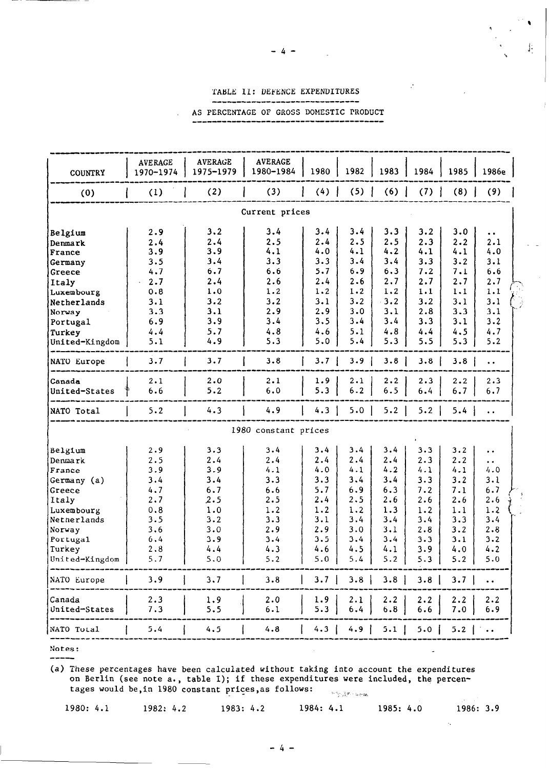### TABLE II: DEFENCE EXPENDITURES ---I-------------------------

AS PERCENTAGE OF GROSS DOMESTIC PRODUCT \_\_\_\_\_\_\_\_\_\_\_\_\_\_\_\_\_\_\_\_\_

 $\lambda$ 

| 1970-1974<br><b>COUNTRY</b><br>(3)<br>(2)<br>(4)<br>(5)<br>(7)<br>(8)<br>(9)<br>(1)<br>(6)<br>(0)<br>Current prices<br>3.2<br>3.4<br>3.4<br>3.3<br>3.2<br>3.0<br>2.9<br>3.4<br>Belgium<br>$\bullet\hspace{0.1cm} \bullet\hspace{0.1cm}$<br>2.4<br>2.5<br>2.3<br>2.5<br>2.5<br>2.2<br>2.1<br>2.4<br>2.4<br>Denmark<br>4.2<br>4.0<br>4.1<br>4.0<br>3.9<br>4.1<br>4.1<br>4.1<br>3.9<br>France<br>3.4<br>3.4<br>3.3<br>3.3<br>3.4<br>3.3<br>3.2<br>3.1<br>3.5<br>Germany<br>5.7<br>6.3<br>6.7<br>6.9<br>7.2<br>7.1<br>6.6<br>4.7<br>6.6<br>Greece<br>2.7<br>2.7<br>2.4<br>2.6<br>2.4<br>2.6<br>2.7<br>2.7<br>2.7<br>Italy<br>1.2<br>1.2<br>1.2<br>1.2<br>1.1<br>1.1<br>1.1<br>0.8<br>1.0<br>Luxembourg<br>3.2<br>3.1<br>3.2<br>3.2<br>3.1<br>3.2<br>3.2<br>3.1<br>3.1<br>Netherlands<br>2.8<br>2.9<br>2.9<br>3.0<br>3.1<br>3.3<br>3.1<br>3.1<br>3.3<br>Norway<br>3.5<br>3.4<br>3.4<br>3.3<br>3.2<br>3.9<br>3.4<br>3.1<br>6.9<br>Portugal<br>4.8<br>4.7<br>5.7<br>4.8<br>4.6<br>5.1<br>4.4<br>4.5<br>4.4<br>Turkey<br>4.9<br>5.3<br>5.0<br>5.3<br>5.5<br>5.1<br>5.4<br>5.3<br>5.2<br>United-Kingdom<br>3.8<br>3.7<br>3.7<br>3.7<br>3.9<br>3.8<br>3.8<br>3.8<br>NATO Europe<br>$\bullet$ $\bullet$<br>2.0<br>2.1<br>1.9<br>2.3<br>2.2<br>2.1<br>2.1<br>2.2<br>2.3<br>Canada<br>5.2<br>6.0<br>5.3<br>6.5<br>6.7<br>6.6<br>6.2<br>6.4<br>6.7<br>United-States<br>4.9<br>5.2<br>4.3<br>4.3<br>5.0<br>5.2<br>5.2<br>NATO Total<br>5.4<br>$\bullet$ $\bullet$<br>1980 constant prices<br>3.4<br>3.3<br>3.2<br>2.9<br>3.3<br>3.4<br>3.4<br>3.4<br>Belgium<br>$\bullet$ $\bullet$<br>2.4<br>2.2<br>2.4<br>2.5<br>2.4<br>2.4<br>2.3<br>2.4<br>Denmark<br>$\bullet$ $\bullet$<br>4.2<br>4.1<br>4.0<br>4.1<br>4.1<br>4.1<br>4.0<br>3.9<br>3.9<br>France<br>3.4<br>3.1<br>3.4<br>3.3<br>3.3<br>3.4<br>3.3<br>3.2<br>3.4<br>Germany (a)<br>5.7<br>6.3<br>6.7<br>4.7<br>6.7<br>6.6<br>6.9<br>7.2<br>7.1<br>Greece<br>2.4<br>2.6<br>2.6<br>2.7<br>2.5<br>2.5<br>2.5<br>2.6<br>2.6<br>Italy<br>1.2<br>1.2<br>1.3<br>1.2<br>1.2<br>0.8<br>1.0<br>1.2<br>1.1<br>Luxembourg<br>3.1<br>3.4<br>3.5<br>3.2<br>3.3<br>3.4<br>3.4<br>3.3<br>3.4<br>Netherlands<br>2.8<br>3.0<br>2.9<br>2.9<br>3.0<br>3.1<br>2.8<br>3.2<br>3.6<br>Norway<br>3.4<br>6,4<br>3.9<br>3.4<br>3.5<br>3.4<br>3.3<br>3.1<br>3.2<br>Portugal<br>4.6<br>4.5<br>4.1<br>4.2<br>2.8<br>4.4<br>4.3<br>3.9<br>4.0<br>Turkey<br>5.7<br>$5.0$ 5.4 5.2 5.3<br>United-Kingdom<br>5.0<br>5.2<br>5.2<br>5.0<br>3.9<br>$3.7$   3.8   3.8   3.8   3.7  <br>3.7<br>3.8<br>NATO Europe<br>$\bullet$ $\bullet$<br>1.9<br>2.3<br>2.0<br>1.9<br>2.1<br>2.2<br>Canada<br>$2 \cdot 2$<br>$2 \cdot 2$<br>2.2<br>7.3<br>5.5<br>6.1<br>5.3<br>6.8<br>6.6<br>7.0<br>United-States<br>6.9<br>6.4 | <b>AVERAGE</b> | <b>AVERAGE</b><br>1975-1979 | <b>AVERAGE</b><br>1980-1984 | 1980 | 1982 | 1983 | 1984 | 1985 | 1986e |
|-----------------------------------------------------------------------------------------------------------------------------------------------------------------------------------------------------------------------------------------------------------------------------------------------------------------------------------------------------------------------------------------------------------------------------------------------------------------------------------------------------------------------------------------------------------------------------------------------------------------------------------------------------------------------------------------------------------------------------------------------------------------------------------------------------------------------------------------------------------------------------------------------------------------------------------------------------------------------------------------------------------------------------------------------------------------------------------------------------------------------------------------------------------------------------------------------------------------------------------------------------------------------------------------------------------------------------------------------------------------------------------------------------------------------------------------------------------------------------------------------------------------------------------------------------------------------------------------------------------------------------------------------------------------------------------------------------------------------------------------------------------------------------------------------------------------------------------------------------------------------------------------------------------------------------------------------------------------------------------------------------------------------------------------------------------------------------------------------------------------------------------------------------------------------------------------------------------------------------------------------------------------------------------------------------------------------------------------------------------------------------------------------------------------------------------------------------------------------------------------------------------------------------------------------------------------------------------------------------------------------------------------------------------------------------------------------------------------|----------------|-----------------------------|-----------------------------|------|------|------|------|------|-------|
|                                                                                                                                                                                                                                                                                                                                                                                                                                                                                                                                                                                                                                                                                                                                                                                                                                                                                                                                                                                                                                                                                                                                                                                                                                                                                                                                                                                                                                                                                                                                                                                                                                                                                                                                                                                                                                                                                                                                                                                                                                                                                                                                                                                                                                                                                                                                                                                                                                                                                                                                                                                                                                                                                                                 |                |                             |                             |      |      |      |      |      |       |
|                                                                                                                                                                                                                                                                                                                                                                                                                                                                                                                                                                                                                                                                                                                                                                                                                                                                                                                                                                                                                                                                                                                                                                                                                                                                                                                                                                                                                                                                                                                                                                                                                                                                                                                                                                                                                                                                                                                                                                                                                                                                                                                                                                                                                                                                                                                                                                                                                                                                                                                                                                                                                                                                                                                 |                |                             |                             |      |      |      |      |      |       |
|                                                                                                                                                                                                                                                                                                                                                                                                                                                                                                                                                                                                                                                                                                                                                                                                                                                                                                                                                                                                                                                                                                                                                                                                                                                                                                                                                                                                                                                                                                                                                                                                                                                                                                                                                                                                                                                                                                                                                                                                                                                                                                                                                                                                                                                                                                                                                                                                                                                                                                                                                                                                                                                                                                                 |                |                             |                             |      |      |      |      |      |       |
|                                                                                                                                                                                                                                                                                                                                                                                                                                                                                                                                                                                                                                                                                                                                                                                                                                                                                                                                                                                                                                                                                                                                                                                                                                                                                                                                                                                                                                                                                                                                                                                                                                                                                                                                                                                                                                                                                                                                                                                                                                                                                                                                                                                                                                                                                                                                                                                                                                                                                                                                                                                                                                                                                                                 |                |                             |                             |      |      |      |      |      |       |
|                                                                                                                                                                                                                                                                                                                                                                                                                                                                                                                                                                                                                                                                                                                                                                                                                                                                                                                                                                                                                                                                                                                                                                                                                                                                                                                                                                                                                                                                                                                                                                                                                                                                                                                                                                                                                                                                                                                                                                                                                                                                                                                                                                                                                                                                                                                                                                                                                                                                                                                                                                                                                                                                                                                 |                |                             |                             |      |      |      |      |      |       |
|                                                                                                                                                                                                                                                                                                                                                                                                                                                                                                                                                                                                                                                                                                                                                                                                                                                                                                                                                                                                                                                                                                                                                                                                                                                                                                                                                                                                                                                                                                                                                                                                                                                                                                                                                                                                                                                                                                                                                                                                                                                                                                                                                                                                                                                                                                                                                                                                                                                                                                                                                                                                                                                                                                                 |                |                             |                             |      |      |      |      |      |       |
|                                                                                                                                                                                                                                                                                                                                                                                                                                                                                                                                                                                                                                                                                                                                                                                                                                                                                                                                                                                                                                                                                                                                                                                                                                                                                                                                                                                                                                                                                                                                                                                                                                                                                                                                                                                                                                                                                                                                                                                                                                                                                                                                                                                                                                                                                                                                                                                                                                                                                                                                                                                                                                                                                                                 |                |                             |                             |      |      |      |      |      |       |
|                                                                                                                                                                                                                                                                                                                                                                                                                                                                                                                                                                                                                                                                                                                                                                                                                                                                                                                                                                                                                                                                                                                                                                                                                                                                                                                                                                                                                                                                                                                                                                                                                                                                                                                                                                                                                                                                                                                                                                                                                                                                                                                                                                                                                                                                                                                                                                                                                                                                                                                                                                                                                                                                                                                 |                |                             |                             |      |      |      |      |      |       |
|                                                                                                                                                                                                                                                                                                                                                                                                                                                                                                                                                                                                                                                                                                                                                                                                                                                                                                                                                                                                                                                                                                                                                                                                                                                                                                                                                                                                                                                                                                                                                                                                                                                                                                                                                                                                                                                                                                                                                                                                                                                                                                                                                                                                                                                                                                                                                                                                                                                                                                                                                                                                                                                                                                                 |                |                             |                             |      |      |      |      |      |       |
|                                                                                                                                                                                                                                                                                                                                                                                                                                                                                                                                                                                                                                                                                                                                                                                                                                                                                                                                                                                                                                                                                                                                                                                                                                                                                                                                                                                                                                                                                                                                                                                                                                                                                                                                                                                                                                                                                                                                                                                                                                                                                                                                                                                                                                                                                                                                                                                                                                                                                                                                                                                                                                                                                                                 |                |                             |                             |      |      |      |      |      |       |
|                                                                                                                                                                                                                                                                                                                                                                                                                                                                                                                                                                                                                                                                                                                                                                                                                                                                                                                                                                                                                                                                                                                                                                                                                                                                                                                                                                                                                                                                                                                                                                                                                                                                                                                                                                                                                                                                                                                                                                                                                                                                                                                                                                                                                                                                                                                                                                                                                                                                                                                                                                                                                                                                                                                 |                |                             |                             |      |      |      |      |      |       |
|                                                                                                                                                                                                                                                                                                                                                                                                                                                                                                                                                                                                                                                                                                                                                                                                                                                                                                                                                                                                                                                                                                                                                                                                                                                                                                                                                                                                                                                                                                                                                                                                                                                                                                                                                                                                                                                                                                                                                                                                                                                                                                                                                                                                                                                                                                                                                                                                                                                                                                                                                                                                                                                                                                                 |                |                             |                             |      |      |      |      |      |       |
|                                                                                                                                                                                                                                                                                                                                                                                                                                                                                                                                                                                                                                                                                                                                                                                                                                                                                                                                                                                                                                                                                                                                                                                                                                                                                                                                                                                                                                                                                                                                                                                                                                                                                                                                                                                                                                                                                                                                                                                                                                                                                                                                                                                                                                                                                                                                                                                                                                                                                                                                                                                                                                                                                                                 |                |                             |                             |      |      |      |      |      |       |
|                                                                                                                                                                                                                                                                                                                                                                                                                                                                                                                                                                                                                                                                                                                                                                                                                                                                                                                                                                                                                                                                                                                                                                                                                                                                                                                                                                                                                                                                                                                                                                                                                                                                                                                                                                                                                                                                                                                                                                                                                                                                                                                                                                                                                                                                                                                                                                                                                                                                                                                                                                                                                                                                                                                 |                |                             |                             |      |      |      |      |      |       |
|                                                                                                                                                                                                                                                                                                                                                                                                                                                                                                                                                                                                                                                                                                                                                                                                                                                                                                                                                                                                                                                                                                                                                                                                                                                                                                                                                                                                                                                                                                                                                                                                                                                                                                                                                                                                                                                                                                                                                                                                                                                                                                                                                                                                                                                                                                                                                                                                                                                                                                                                                                                                                                                                                                                 |                |                             |                             |      |      |      |      |      |       |
|                                                                                                                                                                                                                                                                                                                                                                                                                                                                                                                                                                                                                                                                                                                                                                                                                                                                                                                                                                                                                                                                                                                                                                                                                                                                                                                                                                                                                                                                                                                                                                                                                                                                                                                                                                                                                                                                                                                                                                                                                                                                                                                                                                                                                                                                                                                                                                                                                                                                                                                                                                                                                                                                                                                 |                |                             |                             |      |      |      |      |      |       |
|                                                                                                                                                                                                                                                                                                                                                                                                                                                                                                                                                                                                                                                                                                                                                                                                                                                                                                                                                                                                                                                                                                                                                                                                                                                                                                                                                                                                                                                                                                                                                                                                                                                                                                                                                                                                                                                                                                                                                                                                                                                                                                                                                                                                                                                                                                                                                                                                                                                                                                                                                                                                                                                                                                                 |                |                             |                             |      |      |      |      |      |       |
|                                                                                                                                                                                                                                                                                                                                                                                                                                                                                                                                                                                                                                                                                                                                                                                                                                                                                                                                                                                                                                                                                                                                                                                                                                                                                                                                                                                                                                                                                                                                                                                                                                                                                                                                                                                                                                                                                                                                                                                                                                                                                                                                                                                                                                                                                                                                                                                                                                                                                                                                                                                                                                                                                                                 |                |                             |                             |      |      |      |      |      |       |
|                                                                                                                                                                                                                                                                                                                                                                                                                                                                                                                                                                                                                                                                                                                                                                                                                                                                                                                                                                                                                                                                                                                                                                                                                                                                                                                                                                                                                                                                                                                                                                                                                                                                                                                                                                                                                                                                                                                                                                                                                                                                                                                                                                                                                                                                                                                                                                                                                                                                                                                                                                                                                                                                                                                 |                |                             |                             |      |      |      |      |      |       |
|                                                                                                                                                                                                                                                                                                                                                                                                                                                                                                                                                                                                                                                                                                                                                                                                                                                                                                                                                                                                                                                                                                                                                                                                                                                                                                                                                                                                                                                                                                                                                                                                                                                                                                                                                                                                                                                                                                                                                                                                                                                                                                                                                                                                                                                                                                                                                                                                                                                                                                                                                                                                                                                                                                                 |                |                             |                             |      |      |      |      |      |       |
|                                                                                                                                                                                                                                                                                                                                                                                                                                                                                                                                                                                                                                                                                                                                                                                                                                                                                                                                                                                                                                                                                                                                                                                                                                                                                                                                                                                                                                                                                                                                                                                                                                                                                                                                                                                                                                                                                                                                                                                                                                                                                                                                                                                                                                                                                                                                                                                                                                                                                                                                                                                                                                                                                                                 |                |                             |                             |      |      |      |      |      |       |
|                                                                                                                                                                                                                                                                                                                                                                                                                                                                                                                                                                                                                                                                                                                                                                                                                                                                                                                                                                                                                                                                                                                                                                                                                                                                                                                                                                                                                                                                                                                                                                                                                                                                                                                                                                                                                                                                                                                                                                                                                                                                                                                                                                                                                                                                                                                                                                                                                                                                                                                                                                                                                                                                                                                 |                |                             |                             |      |      |      |      |      |       |
|                                                                                                                                                                                                                                                                                                                                                                                                                                                                                                                                                                                                                                                                                                                                                                                                                                                                                                                                                                                                                                                                                                                                                                                                                                                                                                                                                                                                                                                                                                                                                                                                                                                                                                                                                                                                                                                                                                                                                                                                                                                                                                                                                                                                                                                                                                                                                                                                                                                                                                                                                                                                                                                                                                                 |                |                             |                             |      |      |      |      |      |       |
|                                                                                                                                                                                                                                                                                                                                                                                                                                                                                                                                                                                                                                                                                                                                                                                                                                                                                                                                                                                                                                                                                                                                                                                                                                                                                                                                                                                                                                                                                                                                                                                                                                                                                                                                                                                                                                                                                                                                                                                                                                                                                                                                                                                                                                                                                                                                                                                                                                                                                                                                                                                                                                                                                                                 |                |                             |                             |      |      |      |      |      |       |
|                                                                                                                                                                                                                                                                                                                                                                                                                                                                                                                                                                                                                                                                                                                                                                                                                                                                                                                                                                                                                                                                                                                                                                                                                                                                                                                                                                                                                                                                                                                                                                                                                                                                                                                                                                                                                                                                                                                                                                                                                                                                                                                                                                                                                                                                                                                                                                                                                                                                                                                                                                                                                                                                                                                 |                |                             |                             |      |      |      |      |      |       |
|                                                                                                                                                                                                                                                                                                                                                                                                                                                                                                                                                                                                                                                                                                                                                                                                                                                                                                                                                                                                                                                                                                                                                                                                                                                                                                                                                                                                                                                                                                                                                                                                                                                                                                                                                                                                                                                                                                                                                                                                                                                                                                                                                                                                                                                                                                                                                                                                                                                                                                                                                                                                                                                                                                                 |                |                             |                             |      |      |      |      |      |       |
|                                                                                                                                                                                                                                                                                                                                                                                                                                                                                                                                                                                                                                                                                                                                                                                                                                                                                                                                                                                                                                                                                                                                                                                                                                                                                                                                                                                                                                                                                                                                                                                                                                                                                                                                                                                                                                                                                                                                                                                                                                                                                                                                                                                                                                                                                                                                                                                                                                                                                                                                                                                                                                                                                                                 |                |                             |                             |      |      |      |      |      |       |
|                                                                                                                                                                                                                                                                                                                                                                                                                                                                                                                                                                                                                                                                                                                                                                                                                                                                                                                                                                                                                                                                                                                                                                                                                                                                                                                                                                                                                                                                                                                                                                                                                                                                                                                                                                                                                                                                                                                                                                                                                                                                                                                                                                                                                                                                                                                                                                                                                                                                                                                                                                                                                                                                                                                 |                |                             |                             |      |      |      |      |      |       |
|                                                                                                                                                                                                                                                                                                                                                                                                                                                                                                                                                                                                                                                                                                                                                                                                                                                                                                                                                                                                                                                                                                                                                                                                                                                                                                                                                                                                                                                                                                                                                                                                                                                                                                                                                                                                                                                                                                                                                                                                                                                                                                                                                                                                                                                                                                                                                                                                                                                                                                                                                                                                                                                                                                                 |                |                             |                             |      |      |      |      |      |       |
|                                                                                                                                                                                                                                                                                                                                                                                                                                                                                                                                                                                                                                                                                                                                                                                                                                                                                                                                                                                                                                                                                                                                                                                                                                                                                                                                                                                                                                                                                                                                                                                                                                                                                                                                                                                                                                                                                                                                                                                                                                                                                                                                                                                                                                                                                                                                                                                                                                                                                                                                                                                                                                                                                                                 |                |                             |                             |      |      |      |      |      |       |
|                                                                                                                                                                                                                                                                                                                                                                                                                                                                                                                                                                                                                                                                                                                                                                                                                                                                                                                                                                                                                                                                                                                                                                                                                                                                                                                                                                                                                                                                                                                                                                                                                                                                                                                                                                                                                                                                                                                                                                                                                                                                                                                                                                                                                                                                                                                                                                                                                                                                                                                                                                                                                                                                                                                 |                |                             |                             |      |      |      |      |      |       |
|                                                                                                                                                                                                                                                                                                                                                                                                                                                                                                                                                                                                                                                                                                                                                                                                                                                                                                                                                                                                                                                                                                                                                                                                                                                                                                                                                                                                                                                                                                                                                                                                                                                                                                                                                                                                                                                                                                                                                                                                                                                                                                                                                                                                                                                                                                                                                                                                                                                                                                                                                                                                                                                                                                                 |                |                             |                             |      |      |      |      |      |       |
|                                                                                                                                                                                                                                                                                                                                                                                                                                                                                                                                                                                                                                                                                                                                                                                                                                                                                                                                                                                                                                                                                                                                                                                                                                                                                                                                                                                                                                                                                                                                                                                                                                                                                                                                                                                                                                                                                                                                                                                                                                                                                                                                                                                                                                                                                                                                                                                                                                                                                                                                                                                                                                                                                                                 |                |                             |                             |      |      |      |      |      |       |
|                                                                                                                                                                                                                                                                                                                                                                                                                                                                                                                                                                                                                                                                                                                                                                                                                                                                                                                                                                                                                                                                                                                                                                                                                                                                                                                                                                                                                                                                                                                                                                                                                                                                                                                                                                                                                                                                                                                                                                                                                                                                                                                                                                                                                                                                                                                                                                                                                                                                                                                                                                                                                                                                                                                 |                |                             |                             |      |      |      |      |      |       |
|                                                                                                                                                                                                                                                                                                                                                                                                                                                                                                                                                                                                                                                                                                                                                                                                                                                                                                                                                                                                                                                                                                                                                                                                                                                                                                                                                                                                                                                                                                                                                                                                                                                                                                                                                                                                                                                                                                                                                                                                                                                                                                                                                                                                                                                                                                                                                                                                                                                                                                                                                                                                                                                                                                                 |                |                             |                             |      |      |      |      |      |       |
|                                                                                                                                                                                                                                                                                                                                                                                                                                                                                                                                                                                                                                                                                                                                                                                                                                                                                                                                                                                                                                                                                                                                                                                                                                                                                                                                                                                                                                                                                                                                                                                                                                                                                                                                                                                                                                                                                                                                                                                                                                                                                                                                                                                                                                                                                                                                                                                                                                                                                                                                                                                                                                                                                                                 |                |                             |                             |      |      |      |      |      |       |
|                                                                                                                                                                                                                                                                                                                                                                                                                                                                                                                                                                                                                                                                                                                                                                                                                                                                                                                                                                                                                                                                                                                                                                                                                                                                                                                                                                                                                                                                                                                                                                                                                                                                                                                                                                                                                                                                                                                                                                                                                                                                                                                                                                                                                                                                                                                                                                                                                                                                                                                                                                                                                                                                                                                 |                |                             |                             |      |      |      |      |      |       |
| 4.5<br>4.8<br>4.9   5.1   5.0   5.2  <br>NATO Total<br>5.4<br>4.3                                                                                                                                                                                                                                                                                                                                                                                                                                                                                                                                                                                                                                                                                                                                                                                                                                                                                                                                                                                                                                                                                                                                                                                                                                                                                                                                                                                                                                                                                                                                                                                                                                                                                                                                                                                                                                                                                                                                                                                                                                                                                                                                                                                                                                                                                                                                                                                                                                                                                                                                                                                                                                               |                |                             |                             |      |      |      |      |      |       |

Notes:  $\qquad \qquad -\qquad -$ 

(a) These percentages have been calculated without taking into account the expenditures on Berlin (see note a., table I); if these expenditures were included, the percentages would be, in 1980 constant prices, as follows:

|                               | 그는 그만 그만 아니라 그는 사람이 아무리 아무리 사람이 없었다. |  |           |  |  |  |
|-------------------------------|--------------------------------------|--|-----------|--|--|--|
| 1980: 4.1 1982: 4.2 1983: 4.2 | 1984: 4.1 1985: 4.0                  |  | 1986: 3.9 |  |  |  |

Ÿ,

"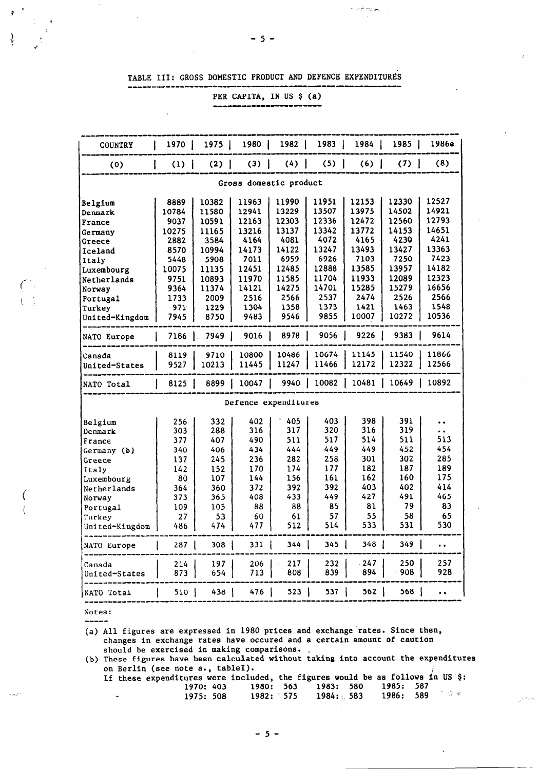TABLE III: GROSS DOMESTIC PRODUCT AND DEFENCE EXPENDITURES

--------------------------------------

PER CAPITA, IN US \$ (a)

--------------

| <b>COUNTRY</b>         | 1970                                                        | 1975   | 1980                 | 1982  | 1983  | 1984 l        | 1985 l | 1986e                |  |  |  |  |  |
|------------------------|-------------------------------------------------------------|--------|----------------------|-------|-------|---------------|--------|----------------------|--|--|--|--|--|
| (0)                    | (1)<br>ı                                                    | (2)    | (3)                  | $(4)$ | (5)   | $(6)$         | $(7)$  | (8)                  |  |  |  |  |  |
| Gross domestic product |                                                             |        |                      |       |       |               |        |                      |  |  |  |  |  |
|                        | 12527<br>11990<br>11951<br>12153<br>12330<br>10382<br>11963 |        |                      |       |       |               |        |                      |  |  |  |  |  |
| Belgium                | 8889                                                        |        |                      |       |       |               |        |                      |  |  |  |  |  |
| Denmark                | 10784                                                       | 11580  | 12941                | 13229 | 13507 | 13975         | 14502  | 14921                |  |  |  |  |  |
| France                 | 9037                                                        | 10591  | 12163                | 12303 | 12336 | 12472         | 12560  | 12793                |  |  |  |  |  |
| Germany                | 10275                                                       | 11165  | 13216                | 13137 | 13342 | 13772         | 14153  | 14651                |  |  |  |  |  |
| <b>Greece</b>          | 2882                                                        | 3584   | 4164                 | 4081  | 4072  | 4165          | 4230   | 4241                 |  |  |  |  |  |
| Iceland                | 8570                                                        | 10994  | 14173                | 14122 | 13247 | 13493         | 13427  | 13363                |  |  |  |  |  |
| Italy                  | 5448                                                        | 5908   | 7011                 | 6959  | 6926  | 7103          | 7250   | 7423                 |  |  |  |  |  |
| Luxembourg             | 10075                                                       | 11135  | 12451                | 12485 | 12888 | 13585         | 13957  | 14182                |  |  |  |  |  |
| Netherlands            | 9751                                                        | 10893  | 11970                | 11585 | 11704 | 11933         | 12089  | 12323                |  |  |  |  |  |
| Norway                 | 9364                                                        | 11374  | 14121                | 14275 | 14701 | 15285         | 15279  | 16656                |  |  |  |  |  |
| Portugal               | 1733                                                        | 2009   | 2516                 | 2566  | 2537  | 2474          | 2526   | 2566                 |  |  |  |  |  |
| Turkey                 | 971                                                         | 1229   | 1304                 | 1358  | 1373  | 1421          | 1463   | 1548                 |  |  |  |  |  |
| United-Kingdom         | 7945                                                        | 8750   | 9483                 | 9546  | 9855  | 10007         | 10272  | 10536                |  |  |  |  |  |
| <b>NATO Europe</b>     | $7186$ .                                                    | 7949 J | 9016                 | 8978  | 9056  | 9226          | 9383   | 9614                 |  |  |  |  |  |
| Canada                 | 8119                                                        | 9710   | 10800                | 10486 | 10674 | 11145         | 11540  | 11866                |  |  |  |  |  |
| United-States          | 9527                                                        | 10213  | 11445                | 11247 | 11466 | 12172         | 12322  | 12566                |  |  |  |  |  |
| NATO Total             | 8125                                                        | 8899 I | 10047                | 9940  |       | 10082   10481 | 10649  | 10892                |  |  |  |  |  |
|                        |                                                             |        | Defence expenditures |       |       |               |        |                      |  |  |  |  |  |
| Belgium                | 256                                                         | 332    | 402                  | 405   | 403.  | 398           | 391    | $\ddot{\bullet}$     |  |  |  |  |  |
| Denmark                | 303                                                         | 288    | 316                  | 317   | 320   | 316           | 319    | $\ddot{\phantom{0}}$ |  |  |  |  |  |
| France                 | 377                                                         | 407    | 490                  | 511   | 517   | 514           | 511    | 513                  |  |  |  |  |  |
| Germany (b)            | 340                                                         | 406    | 434                  | 444   | 449   | 449           | 452    | 454                  |  |  |  |  |  |
| Greece                 | 137                                                         | 245    | 236                  | 282   | 258   | 301           | 302    | 285                  |  |  |  |  |  |
| Italy                  | 142                                                         | 152    | 170                  | 174   | 177   | 182           | 187    | 189                  |  |  |  |  |  |
| Luxembourg             | 80                                                          | 107    | 144                  | 156   | 161   | 162           | 160    | 175                  |  |  |  |  |  |
| Netherlands            | 364                                                         | 360    | 372                  | 392   | 392   | 403           | 402    | 414                  |  |  |  |  |  |
| Norway                 | 373                                                         | 365    | 408                  | 433   | 449   | 427           | 491    | 465                  |  |  |  |  |  |
| Portugal               | 109                                                         | 105    | 88                   | 88    | 85    | 81            | 79     | 83                   |  |  |  |  |  |
| Turkey                 | 27                                                          | 53     | 60                   | 61    | 57    | 55            | 58     | 65                   |  |  |  |  |  |
| United-Kingdom         | 486                                                         | 474    | 477                  | 512   | 514   | 533           | 531    | 530                  |  |  |  |  |  |
| NATO Europe            | 287                                                         | $308$  | 331                  | 344.  | 345   | 348 J         | 349    | $\ddot{\phantom{0}}$ |  |  |  |  |  |
| Canada                 | 214                                                         | 197    | 206                  | 217   | 232   | - 247         | 250    | 257                  |  |  |  |  |  |
| United-States          | 873                                                         | 654    | 713                  | 808   | 839   | 894           | 908    | 928                  |  |  |  |  |  |
| NATO Total             | 510.                                                        | 438    | 476                  | 523   | 537 I | 562           | 568    | $\ddot{\phantom{a}}$ |  |  |  |  |  |

Notes: -----

(a) All figures are expressed in 1980 prices and exchange rates. Since then, changes in exchange rates have occured and a certain amount of caution should be exercised in making comparisons. \_

(b) These figures have been calculated without taking into account the expenditures on Berlin (see note a., tableI).  $\mathcal{F}_\mathrm{c}$ 

|               | If these expenditures were included, the figures would be as follows in US \$: |                                                  |  |  |  |                |
|---------------|--------------------------------------------------------------------------------|--------------------------------------------------|--|--|--|----------------|
|               |                                                                                | 1970: 403 1980: 563 1983: 580 1985: 587          |  |  |  |                |
| $\sim$ $\sim$ |                                                                                | 1975: 508    1982: 575    1984: 583    1986: 589 |  |  |  | - 1 - 12 - # - |

وللمركب ويتأ

 $\sim$  . When  $\sim$ 

-5-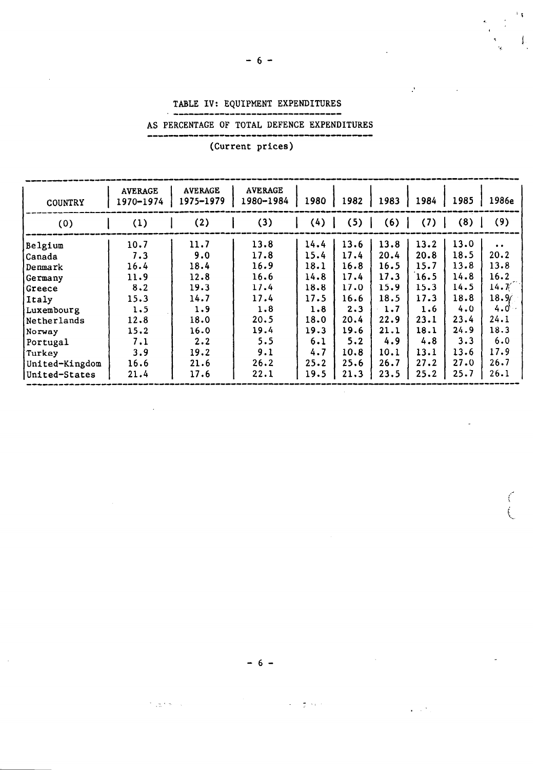### TABLE IV: EQUIPMENT EXPENDITURES -------------------------------

# AS PERCENTAGE OF TOTAL DEFENCE EXPENDITURES

--\_-----------------\_\_\_\_\_\_\_I\_\_\_\_\_\_\_\_

 $\delta/\sqrt{3}$ 

 $\overline{1}$ 

 $\mathcal{P}$ 

(Current prices)

| <b>COUNTRY</b> | <b>AVERAGE</b><br>1970-1974 | <b>AVERAGE</b><br>1975-1979 | <b>AVERAGE</b><br>1980-1984 | 1980 | 1982 | 1983 | 1984 | 1985 | 1986e             |
|----------------|-----------------------------|-----------------------------|-----------------------------|------|------|------|------|------|-------------------|
| (0)            | (1)                         | (2)                         | (3)                         | (4)  | (5)  | (6)  | (7)  | (8)  | (9)               |
| Belgium        | 10.7                        | 11.7                        | 13.8                        | 14.4 | 13.6 | 13.8 | 13.2 | 13.0 | $\bullet$         |
| Canada         | 7.3                         | 9.0                         | 17.8                        | 15.4 | 17.4 | 20.4 | 20.8 | 18.5 | 20.2              |
| Denmark        | 16.4                        | 18.4                        | 16.9                        | 18.1 | 16.8 | 16.5 | 15.7 | 13.8 | 13.8              |
| Germany        | 11.9                        | 12.8                        | 16.6                        | 14.8 | 17.4 | 17.3 | 16.5 | 14.8 | 16.2              |
| Greece         | 8.2                         | 19.3                        | 17.4                        | 18.8 | 17.0 | 15.9 | 15.3 | 14.5 | 14.7 <sub>1</sub> |
| Italy          | 15.3                        | 14.7                        | 17.4                        | 17.5 | 16.6 | 18.5 | 17.3 | 18.8 | 18.96             |
| Luxembourg     | 1.5                         | 1.9                         | 1.8                         | 1.8  | 2.3  | 1.7  | 1.6  | 4.0  | $4.0^{\circ}$     |
| Netherlands    | 12.8                        | 18.0                        | 20.5                        | 18.0 | 20.4 | 22.9 | 23.1 | 23.4 | 24.1              |
| Norway         | 15.2                        | 16.0                        | 19.4                        | 19.3 | 19.6 | 21.1 | 18.1 | 24.9 | 18.3              |
| Portugal       | 7.1                         | 2.2                         | 5.5                         | 6.1  | 5.2  | 4.9  | 4.8  | 3.3  | 6.0               |
| Turkey         | 3.9                         | 19.2                        | 9.1                         | 4.7  | 10.8 | 10.1 | 13.1 | 13.6 | 17.9              |
| United-Kingdom | 16.6                        | 21.6                        | 26.2                        | 25.2 | 25.6 | 26.7 | 27.2 | 27.0 | 26.7              |
| United-States  | 21.4                        | 17.6                        | 22.1                        | 19.5 | 21.3 | 23.5 | 25.2 | 25.7 | 26.1              |

 $\ddot{\phantom{1}}$ 

 $\label{eq:1.1} \mathcal{F}_{\mathcal{A}}(\mathbf{x},t,\mathbf{w})=\mathcal{F}_{\mathcal{A}}(\mathbf{x},t,\mathbf{w})\,,\qquad \qquad \mathcal{F}_{\mathcal{A}}(\mathbf{x},t,\mathbf{w})=\mathcal{F}_{\mathcal{A}}(\mathbf{x},t,\mathbf{w})\,,\qquad \qquad \mathcal{F}_{\mathcal{A}}(\mathbf{x},t,\mathbf{w})=\mathcal{F}_{\mathcal{A}}(\mathbf{x},t,\mathbf{w})\,,$  $\mathbf{z} \in \mathbb{R}^{N}$  .